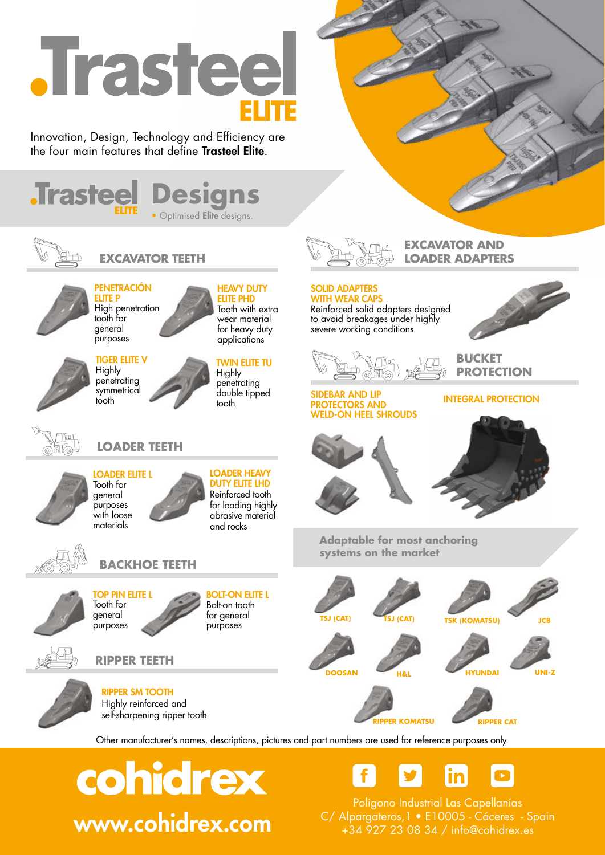# **Trasteel**

Innovation, Design, Technology and Efficiency are the four main features that define Trasteel Elite.





**EXCAVATOR TEETH LOADER ADAPTERS**



#### PENETRACIÓN ELITE P

High penetration tooth for general purposes

TIGER ELITE V **Highly** penetrating

#### wear material for heavy duty applications

#### TWIN ELITE TU

**HEAVY DUTY** ELITE PHD Tooth with extra

Highly penetrating double tipped tooth



ROTECTORS AND WELD-ON HEEL SHROUDS

SOLID ADAPTERS WITH WEAR CAPS Reinforced solid adapters designed to avoid breakages under highly severe working conditions





**PROTECTION**

**BUCKET** 

**EXCAVATOR AND** 



#### **symmetrical** tooth



**LOADER TEETH**





**LOADER HEAVY** DUTY ELITE LHD Reinforced tooth for loading highly abrasive material and rocks







**BACKHOE TEETH**

BOLT-ON ELITE L Bolt-on tooth for general purposes



**RIPPER TEETH**















**TSJ (CAT) TSJ (CAT) TSK (KOMATSU)** 

**Adaptable for most anchoring systems on the market**







**RIPPER KOMATSU RIPPER CAT**

Other manufacturer's names, descriptions, pictures and part numbers are used for reference purposes only.

cohidrex



Polígono Industrial Las Capellanías<br>C/ Alpargateros,1 • E10005 - Cáceres - Spain **WWW.cohidrex.com** C/ Alpargateros,1 • E10005 - Cáceres - Sp

**INTEGRAL PROTECTION**